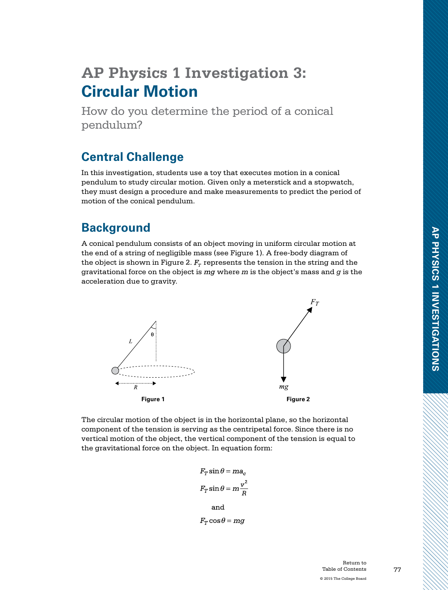# **AP Physics 1 Investigation 3: Circular Motion**

How do you determine the period of a conical pendulum?

# **Central Challenge**

In this investigation, students use a toy that executes motion in a conical pendulum to study circular motion. Given only a meterstick and a stopwatch, they must design a procedure and make measurements to predict the period of motion of the conical pendulum.

## **Background**

A conical pendulum consists of an object moving in uniform circular motion at the end of a string of negligible mass (see Figure 1). A free-body diagram of the object is shown in Figure 2.  $F_r$  represents the tension in the string and the gravitational force on the object is where *m* is the object's mass and *g* is the acceleration due to gravity.



The circular motion of the object is in the horizontal plane, so the horizontal component of the tension is serving as the centripetal force. Since there is no vertical motion of the object, the vertical component of the tension is equal to the gravitational force on the object. In equation form:

$$
F_T \sin \theta = ma_c
$$
  

$$
F_T \sin \theta = m \frac{v^2}{R}
$$
  
and  

$$
F_T \cos \theta = mg
$$

Return to Table of Contents © 2015 The College Board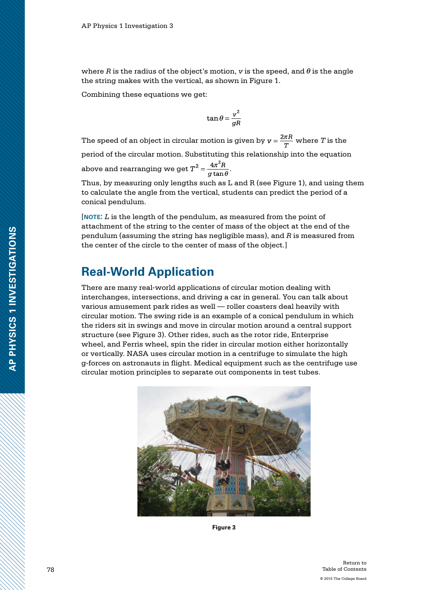where  $R$  is the radius of the object's motion,  $v$  is the speed, and  $\theta$  is the angle the string makes with the vertical, as shown in Figure 1.

Combining these equations we get:

$$
\tan\theta = \frac{v^2}{gR}
$$

The speed of an object in circular motion is given by  $v = \frac{2\pi R}{T}$  where *T* is the period of the circular motion. Substituting this relationship into the equation above and rearranging we get  $T^2 = \frac{4\pi^2 R}{g\tan\theta}$ 

Thus, by measuring only lengths such as L and R (see Figure 1), and using them to calculate the angle from the vertical, students can predict the period of a conical pendulum.

[**note:** *L* is the length of the pendulum, as measured from the point of attachment of the string to the center of mass of the object at the end of the pendulum (assuming the string has negligible mass), and *R* is measured from the center of the circle to the center of mass of the object.]

#### **Real-World Application**

There are many real-world applications of circular motion dealing with interchanges, intersections, and driving a car in general. You can talk about various amusement park rides as well — roller coasters deal heavily with circular motion. The swing ride is an example of a conical pendulum in which the riders sit in swings and move in circular motion around a central support structure (see Figure 3). Other rides, such as the rotor ride, Enterprise wheel, and Ferris wheel, spin the rider in circular motion either horizontally or vertically. NASA uses circular motion in a centrifuge to simulate the high g-forces on astronauts in flight. Medical equipment such as the centrifuge use circular motion principles to separate out components in test tubes.



**Figure 3**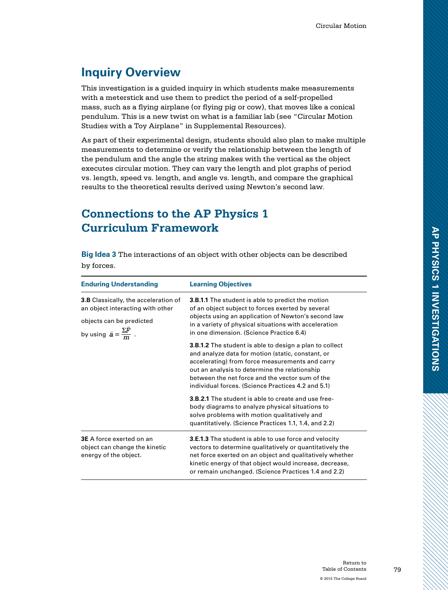# **Inquiry Overview**

This investigation is a guided inquiry in which students make measurements with a meterstick and use them to predict the period of a self-propelled mass, such as a flying airplane (or flying pig or cow), that moves like a conical pendulum. This is a new twist on what is a familiar lab (see "Circular Motion Studies with a Toy Airplane" in Supplemental Resources).

As part of their experimental design, students should also plan to make multiple measurements to determine or verify the relationship between the length of the pendulum and the angle the string makes with the vertical as the object executes circular motion. They can vary the length and plot graphs of period vs. length, speed vs. length, and angle vs. length, and compare the graphical results to the theoretical results derived using Newton's second law.

## **Connections to the AP Physics 1 Curriculum Framework**

**Big Idea 3** The interactions of an object with other objects can be described by forces.

| <b>Enduring Understanding</b>                                                                                                                                  | <b>Learning Objectives</b>                                                                                                                                                                                                                                                                                                       |
|----------------------------------------------------------------------------------------------------------------------------------------------------------------|----------------------------------------------------------------------------------------------------------------------------------------------------------------------------------------------------------------------------------------------------------------------------------------------------------------------------------|
| <b>3.B</b> Classically, the acceleration of<br>an object interacting with other<br>objects can be predicted<br>by using $\vec{a} = \frac{\Sigma \vec{F}}{m}$ . | <b>3.B.1.1</b> The student is able to predict the motion<br>of an object subject to forces exerted by several<br>objects using an application of Newton's second law<br>in a variety of physical situations with acceleration<br>in one dimension. (Science Practice 6.4)                                                        |
|                                                                                                                                                                | <b>3.B.1.2</b> The student is able to design a plan to collect<br>and analyze data for motion (static, constant, or<br>accelerating) from force measurements and carry<br>out an analysis to determine the relationship<br>between the net force and the vector sum of the<br>individual forces. (Science Practices 4.2 and 5.1) |
|                                                                                                                                                                | <b>3.B.2.1</b> The student is able to create and use free-<br>body diagrams to analyze physical situations to<br>solve problems with motion qualitatively and<br>quantitatively. (Science Practices 1.1, 1.4, and 2.2)                                                                                                           |
| <b>3E</b> A force exerted on an<br>object can change the kinetic<br>energy of the object.                                                                      | 3.E.1.3 The student is able to use force and velocity<br>vectors to determine qualitatively or quantitatively the<br>net force exerted on an object and qualitatively whether<br>kinetic energy of that object would increase, decrease,<br>or remain unchanged. (Science Practices 1.4 and 2.2)                                 |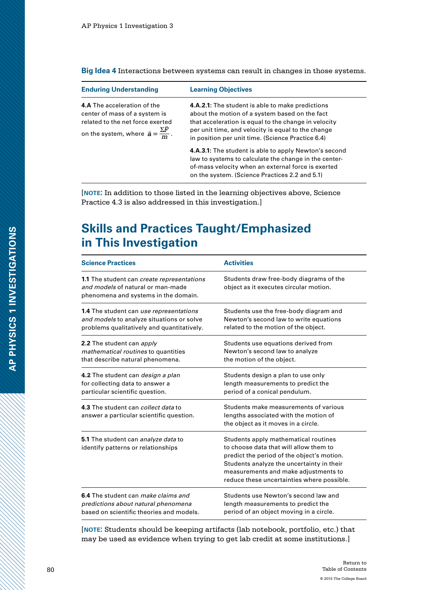**Big Idea 4** Interactions between systems can result in changes in those systems.

| <b>Enduring Understanding</b>                                                                                                                                          | <b>Learning Objectives</b>                                                                                                                                                                                                                                                   |
|------------------------------------------------------------------------------------------------------------------------------------------------------------------------|------------------------------------------------------------------------------------------------------------------------------------------------------------------------------------------------------------------------------------------------------------------------------|
| <b>4.A</b> The acceleration of the<br>center of mass of a system is<br>related to the net force exerted<br>on the system, where $\vec{a} = \frac{\Sigma \vec{F}}{m}$ . | <b>4.A.2.1:</b> The student is able to make predictions<br>about the motion of a system based on the fact<br>that acceleration is equal to the change in velocity<br>per unit time, and velocity is equal to the change<br>in position per unit time. (Science Practice 6.4) |
|                                                                                                                                                                        | 4.A.3.1: The student is able to apply Newton's second<br>law to systems to calculate the change in the center-<br>of-mass velocity when an external force is exerted<br>on the system. (Science Practices 2.2 and 5.1)                                                       |

[**note:** In addition to those listed in the learning objectives above, Science Practice 4.3 is also addressed in this investigation.]

# **Skills and Practices Taught/Emphasized in This Investigation**

| <b>Science Practices</b>                                                                                                | <b>Activities</b>                                                                                                                                                                                                                                               |
|-------------------------------------------------------------------------------------------------------------------------|-----------------------------------------------------------------------------------------------------------------------------------------------------------------------------------------------------------------------------------------------------------------|
| 1.1 The student can create representations<br>and models of natural or man-made<br>phenomena and systems in the domain. | Students draw free-body diagrams of the<br>object as it executes circular motion.                                                                                                                                                                               |
| <b>1.4</b> The student can use representations                                                                          | Students use the free-body diagram and                                                                                                                                                                                                                          |
| and models to analyze situations or solve                                                                               | Newton's second law to write equations                                                                                                                                                                                                                          |
| problems qualitatively and quantitatively.                                                                              | related to the motion of the object.                                                                                                                                                                                                                            |
| 2.2 The student can apply                                                                                               | Students use equations derived from                                                                                                                                                                                                                             |
| mathematical routines to quantities                                                                                     | Newton's second law to analyze                                                                                                                                                                                                                                  |
| that describe natural phenomena.                                                                                        | the motion of the object.                                                                                                                                                                                                                                       |
| 4.2 The student can <i>design a plan</i>                                                                                | Students design a plan to use only                                                                                                                                                                                                                              |
| for collecting data to answer a                                                                                         | length measurements to predict the                                                                                                                                                                                                                              |
| particular scientific question.                                                                                         | period of a conical pendulum.                                                                                                                                                                                                                                   |
| 4.3 The student can collect data to<br>answer a particular scientific question.                                         | Students make measurements of various<br>lengths associated with the motion of<br>the object as it moves in a circle.                                                                                                                                           |
| 5.1 The student can analyze data to<br>identify patterns or relationships                                               | Students apply mathematical routines<br>to choose data that will allow them to<br>predict the period of the object's motion.<br>Students analyze the uncertainty in their<br>measurements and make adjustments to<br>reduce these uncertainties where possible. |
| 6.4 The student can <i>make claims and</i>                                                                              | Students use Newton's second law and                                                                                                                                                                                                                            |
| predictions about natural phenomena                                                                                     | length measurements to predict the                                                                                                                                                                                                                              |
| based on scientific theories and models.                                                                                | period of an object moving in a circle.                                                                                                                                                                                                                         |

[**note:** Students should be keeping artifacts (lab notebook, portfolio, etc.) that may be used as evidence when trying to get lab credit at some institutions.]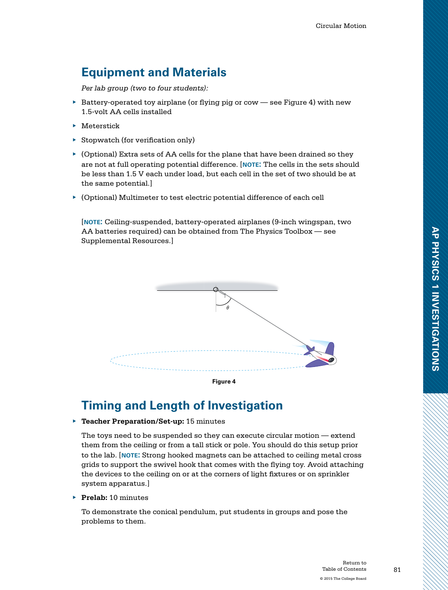# **Equipment and Materials**

*Per lab group (two to four students):*

- $\blacktriangleright$  Battery-operated toy airplane (or flying pig or cow see Figure 4) with new 1.5-volt AA cells installed
- ▶ Meterstick
- ▶ Stopwatch (for verification only)
- ▶ (Optional) Extra sets of AA cells for the plane that have been drained so they are not at full operating potential difference. [**note:** The cells in the sets should be less than 1.5 V each under load, but each cell in the set of two should be at the same potential.]
- ▶ (Optional) Multimeter to test electric potential difference of each cell

[**note:** Ceiling-suspended, battery-operated airplanes (9-inch wingspan, two AA batteries required) can be obtained from The Physics Toolbox — see Supplemental Resources.]





#### **Timing and Length of Investigation**

▶ **Teacher Preparation/Set-up:** 15 minutes

The toys need to be suspended so they can execute circular motion — extend them from the ceiling or from a tall stick or pole. You should do this setup prior to the lab. [**note:** Strong hooked magnets can be attached to ceiling metal cross grids to support the swivel hook that comes with the flying toy. Avoid attaching the devices to the ceiling on or at the corners of light fixtures or on sprinkler system apparatus.]

▶ **Prelab:** 10 minutes

To demonstrate the conical pendulum, put students in groups and pose the problems to them.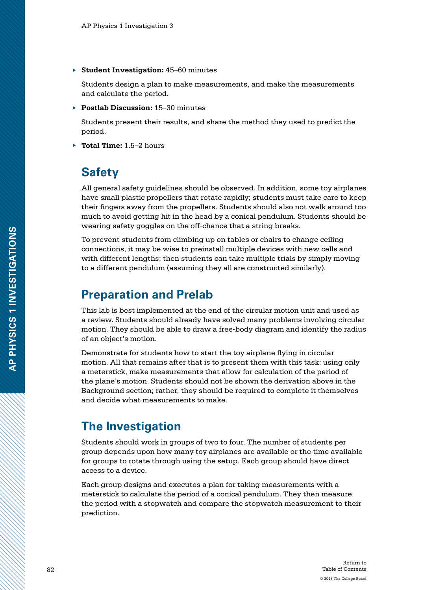▶ **Student Investigation:** 45–60 minutes

Students design a plan to make measurements, and make the measurements and calculate the period.

▶ **Postlab Discussion:** 15–30 minutes

Students present their results, and share the method they used to predict the period.

▶ **Total Time:** 1.5–2 hours

#### **Safety**

All general safety guidelines should be observed. In addition, some toy airplanes have small plastic propellers that rotate rapidly; students must take care to keep their fingers away from the propellers. Students should also not walk around too much to avoid getting hit in the head by a conical pendulum. Students should be wearing safety goggles on the off-chance that a string breaks.

To prevent students from climbing up on tables or chairs to change ceiling connections, it may be wise to preinstall multiple devices with new cells and with different lengths; then students can take multiple trials by simply moving to a different pendulum (assuming they all are constructed similarly).

#### **Preparation and Prelab**

This lab is best implemented at the end of the circular motion unit and used as a review. Students should already have solved many problems involving circular motion. They should be able to draw a free-body diagram and identify the radius of an object's motion.

Demonstrate for students how to start the toy airplane flying in circular motion. All that remains after that is to present them with this task: using only a meterstick, make measurements that allow for calculation of the period of the plane's motion. Students should not be shown the derivation above in the Background section; rather, they should be required to complete it themselves and decide what measurements to make.

# **The Investigation**

Students should work in groups of two to four. The number of students per group depends upon how many toy airplanes are available or the time available for groups to rotate through using the setup. Each group should have direct access to a device.

Each group designs and executes a plan for taking measurements with a meterstick to calculate the period of a conical pendulum. They then measure the period with a stopwatch and compare the stopwatch measurement to their prediction.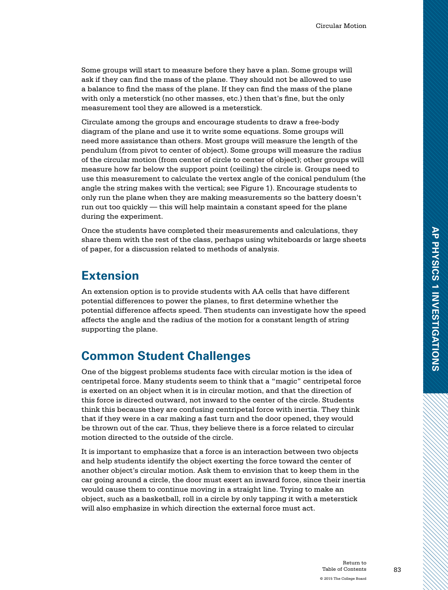Some groups will start to measure before they have a plan. Some groups will ask if they can find the mass of the plane. They should not be allowed to use a balance to find the mass of the plane. If they can find the mass of the plane with only a meterstick (no other masses, etc.) then that's fine, but the only measurement tool they are allowed is a meterstick.

Circulate among the groups and encourage students to draw a free-body diagram of the plane and use it to write some equations. Some groups will need more assistance than others. Most groups will measure the length of the pendulum (from pivot to center of object). Some groups will measure the radius of the circular motion (from center of circle to center of object); other groups will measure how far below the support point (ceiling) the circle is. Groups need to use this measurement to calculate the vertex angle of the conical pendulum (the angle the string makes with the vertical; see Figure 1). Encourage students to only run the plane when they are making measurements so the battery doesn't run out too quickly — this will help maintain a constant speed for the plane during the experiment.

Once the students have completed their measurements and calculations, they share them with the rest of the class, perhaps using whiteboards or large sheets of paper, for a discussion related to methods of analysis.

#### **Extension**

An extension option is to provide students with AA cells that have different potential differences to power the planes, to first determine whether the potential difference affects speed. Then students can investigate how the speed affects the angle and the radius of the motion for a constant length of string supporting the plane.

#### **Common Student Challenges**

One of the biggest problems students face with circular motion is the idea of centripetal force. Many students seem to think that a "magic" centripetal force is exerted on an object when it is in circular motion, and that the direction of this force is directed outward, not inward to the center of the circle. Students think this because they are confusing centripetal force with inertia. They think that if they were in a car making a fast turn and the door opened, they would be thrown out of the car. Thus, they believe there is a force related to circular motion directed to the outside of the circle.

It is important to emphasize that a force is an interaction between two objects and help students identify the object exerting the force toward the center of another object's circular motion. Ask them to envision that to keep them in the car going around a circle, the door must exert an inward force, since their inertia would cause them to continue moving in a straight line. Trying to make an object, such as a basketball, roll in a circle by only tapping it with a meterstick will also emphasize in which direction the external force must act.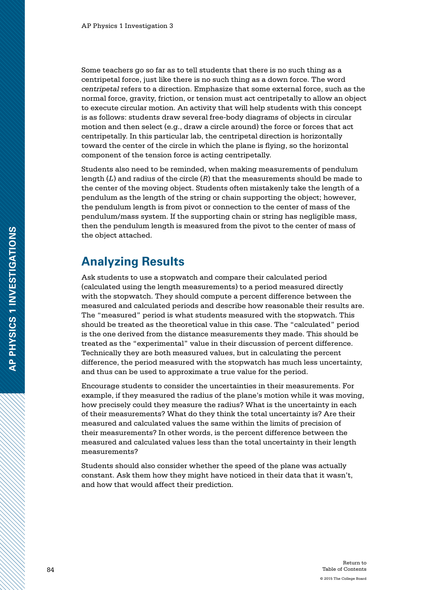Some teachers go so far as to tell students that there is no such thing as a centripetal force, just like there is no such thing as a down force. The word *centripetal* refers to a direction. Emphasize that some external force, such as the normal force, gravity, friction, or tension must act centripetally to allow an object to execute circular motion. An activity that will help students with this concept is as follows: students draw several free-body diagrams of objects in circular motion and then select (e.g., draw a circle around) the force or forces that act centripetally. In this particular lab, the centripetal direction is horizontally toward the center of the circle in which the plane is flying, so the horizontal component of the tension force is acting centripetally.

Students also need to be reminded, when making measurements of pendulum length (*L*) and radius of the circle (*R*) that the measurements should be made to the center of the moving object. Students often mistakenly take the length of a pendulum as the length of the string or chain supporting the object; however, the pendulum length is from pivot or connection to the center of mass of the pendulum/mass system. If the supporting chain or string has negligible mass, then the pendulum length is measured from the pivot to the center of mass of the object attached.

#### **Analyzing Results**

Ask students to use a stopwatch and compare their calculated period (calculated using the length measurements) to a period measured directly with the stopwatch. They should compute a percent difference between the measured and calculated periods and describe how reasonable their results are. The "measured" period is what students measured with the stopwatch. This should be treated as the theoretical value in this case. The "calculated" period is the one derived from the distance measurements they made. This should be treated as the "experimental" value in their discussion of percent difference. Technically they are both measured values, but in calculating the percent difference, the period measured with the stopwatch has much less uncertainty, and thus can be used to approximate a true value for the period.

Encourage students to consider the uncertainties in their measurements. For example, if they measured the radius of the plane's motion while it was moving, how precisely could they measure the radius? What is the uncertainty in each of their measurements? What do they think the total uncertainty is? Are their measured and calculated values the same within the limits of precision of their measurements? In other words, is the percent difference between the measured and calculated values less than the total uncertainty in their length measurements?

Students should also consider whether the speed of the plane was actually constant. Ask them how they might have noticed in their data that it wasn't, and how that would affect their prediction.

**AP PHYSICS 1 INVESTIGATIONS**

AP PHYSICS 1 INVESTIGATIONS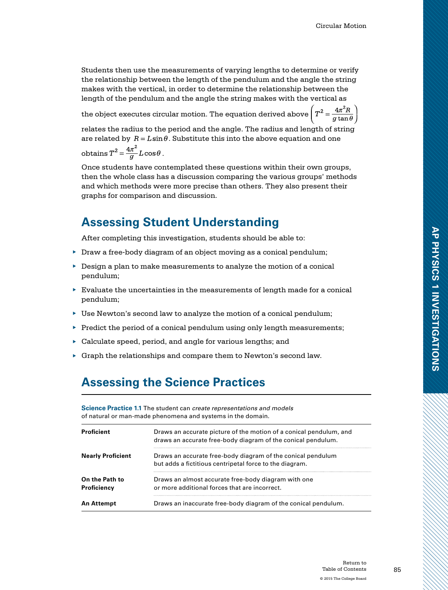Students then use the measurements of varying lengths to determine or verify the relationship between the length of the pendulum and the angle the string makes with the vertical, in order to determine the relationship between the length of the pendulum and the angle the string makes with the vertical as

the object executes circular motion. The equation derived above  $\left(T^2 = \frac{4\pi^2 R}{g\tan\theta}\right)$ 

relates the radius to the period and the angle. The radius and length of string are related by  $R = L \sin \theta$ . Substitute this into the above equation and one

obtains  $T^2 = \frac{4\pi^2}{g} L \cos\theta$ .

Once students have contemplated these questions within their own groups, then the whole class has a discussion comparing the various groups' methods and which methods were more precise than others. They also present their graphs for comparison and discussion.

# **Assessing Student Understanding**

After completing this investigation, students should be able to:

- ▶ Draw a free-body diagram of an object moving as a conical pendulum;
- ▶ Design a plan to make measurements to analyze the motion of a conical pendulum;
- $\blacktriangleright$  Evaluate the uncertainties in the measurements of length made for a conical pendulum;
- ▶ Use Newton's second law to analyze the motion of a conical pendulum;
- $\blacktriangleright$  Predict the period of a conical pendulum using only length measurements;
- ▶ Calculate speed, period, and angle for various lengths; and
- $\triangleright$  Graph the relationships and compare them to Newton's second law.

#### **Assessing the Science Practices**

**Science Practice 1.1** The student can *create representations and models* of natural or man-made phenomena and systems in the domain.

| <b>Proficient</b>             | Draws an accurate picture of the motion of a conical pendulum, and<br>draws an accurate free-body diagram of the conical pendulum. |
|-------------------------------|------------------------------------------------------------------------------------------------------------------------------------|
| <b>Nearly Proficient</b>      | Draws an accurate free-body diagram of the conical pendulum<br>but adds a fictitious centripetal force to the diagram.             |
| On the Path to<br>Proficiency | Draws an almost accurate free-body diagram with one<br>or more additional forces that are incorrect.                               |
| An Attempt                    | Draws an inaccurate free-body diagram of the conical pendulum.                                                                     |

**AP PHYSICS 1 INVESTIGATIONS**

AP PHYSICS 1 INVESTIGATIONS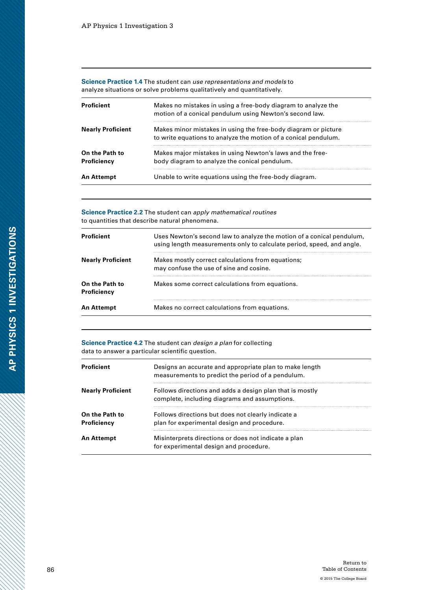**Science Practice 1.4** The student can *use representations and models* to analyze situations or solve problems qualitatively and quantitatively.

| Proficient                    | Makes no mistakes in using a free-body diagram to analyze the<br>motion of a conical pendulum using Newton's second law.          |
|-------------------------------|-----------------------------------------------------------------------------------------------------------------------------------|
| <b>Nearly Proficient</b>      | Makes minor mistakes in using the free-body diagram or picture<br>to write equations to analyze the motion of a conical pendulum. |
| On the Path to<br>Proficiency | Makes major mistakes in using Newton's laws and the free-<br>body diagram to analyze the conical pendulum.                        |
| An Attempt                    | Unable to write equations using the free-body diagram.                                                                            |

**Science Practice 2.2** The student can *apply mathematical routines* to quantities that describe natural phenomena.

| <b>Proficient</b>             | Uses Newton's second law to analyze the motion of a conical pendulum,<br>using length measurements only to calculate period, speed, and angle. |
|-------------------------------|------------------------------------------------------------------------------------------------------------------------------------------------|
| <b>Nearly Proficient</b>      | Makes mostly correct calculations from equations;<br>may confuse the use of sine and cosine.                                                   |
| On the Path to<br>Proficiency | Makes some correct calculations from equations.                                                                                                |
| An Attempt                    | Makes no correct calculations from equations.                                                                                                  |

**Science Practice 4.2** The student can *design a plan* for collecting data to answer a particular scientific question.

| Proficient                    | Designs an accurate and appropriate plan to make length<br>measurements to predict the period of a pendulum. |  |
|-------------------------------|--------------------------------------------------------------------------------------------------------------|--|
| <b>Nearly Proficient</b>      | Follows directions and adds a design plan that is mostly<br>complete, including diagrams and assumptions.    |  |
| On the Path to<br>Proficiency | Follows directions but does not clearly indicate a<br>plan for experimental design and procedure.            |  |
| An Attempt                    | Misinterprets directions or does not indicate a plan<br>for experimental design and procedure.               |  |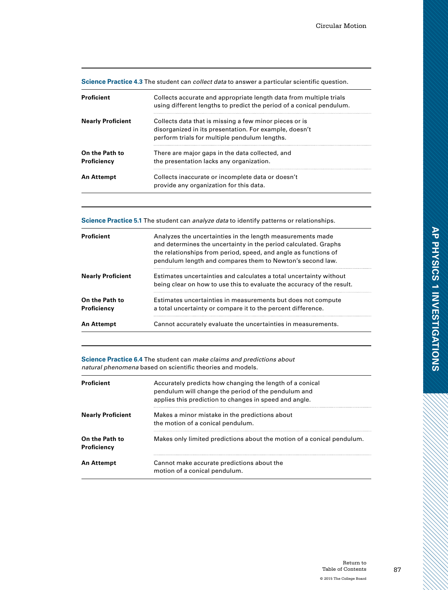**Science Practice 4.3** The student can *collect data* to answer a particular scientific question.

| Proficient                    | Collects accurate and appropriate length data from multiple trials<br>using different lengths to predict the period of a conical pendulum.                        |
|-------------------------------|-------------------------------------------------------------------------------------------------------------------------------------------------------------------|
| <b>Nearly Proficient</b>      | Collects data that is missing a few minor pieces or is<br>disorganized in its presentation. For example, doesn't<br>perform trials for multiple pendulum lengths. |
| On the Path to<br>Proficiency | There are major gaps in the data collected, and<br>the presentation lacks any organization.                                                                       |
| An Attempt                    | Collects inaccurate or incomplete data or doesn't<br>provide any organization for this data.                                                                      |

**Science Practice 5.1** The student can *analyze data* to identify patterns or relationships.

| Proficient                    | Analyzes the uncertainties in the length measurements made<br>and determines the uncertainty in the period calculated. Graphs<br>the relationships from period, speed, and angle as functions of<br>pendulum length and compares them to Newton's second law. |
|-------------------------------|---------------------------------------------------------------------------------------------------------------------------------------------------------------------------------------------------------------------------------------------------------------|
| <b>Nearly Proficient</b>      | Estimates uncertainties and calculates a total uncertainty without<br>being clear on how to use this to evaluate the accuracy of the result.                                                                                                                  |
| On the Path to<br>Proficiency | Estimates uncertainties in measurements but does not compute<br>a total uncertainty or compare it to the percent difference.                                                                                                                                  |
| <b>An Attempt</b>             | Cannot accurately evaluate the uncertainties in measurements.                                                                                                                                                                                                 |

**Science Practice 6.4** The student can *make claims and predictions about natural phenomena* based on scientific theories and models.

| <b>Proficient</b>             | Accurately predicts how changing the length of a conical<br>pendulum will change the period of the pendulum and<br>applies this prediction to changes in speed and angle. |
|-------------------------------|---------------------------------------------------------------------------------------------------------------------------------------------------------------------------|
| <b>Nearly Proficient</b>      | Makes a minor mistake in the predictions about<br>the motion of a conical pendulum.                                                                                       |
| On the Path to<br>Proficiency | Makes only limited predictions about the motion of a conical pendulum.                                                                                                    |
| An Attempt                    | Cannot make accurate predictions about the<br>motion of a conical pendulum.                                                                                               |